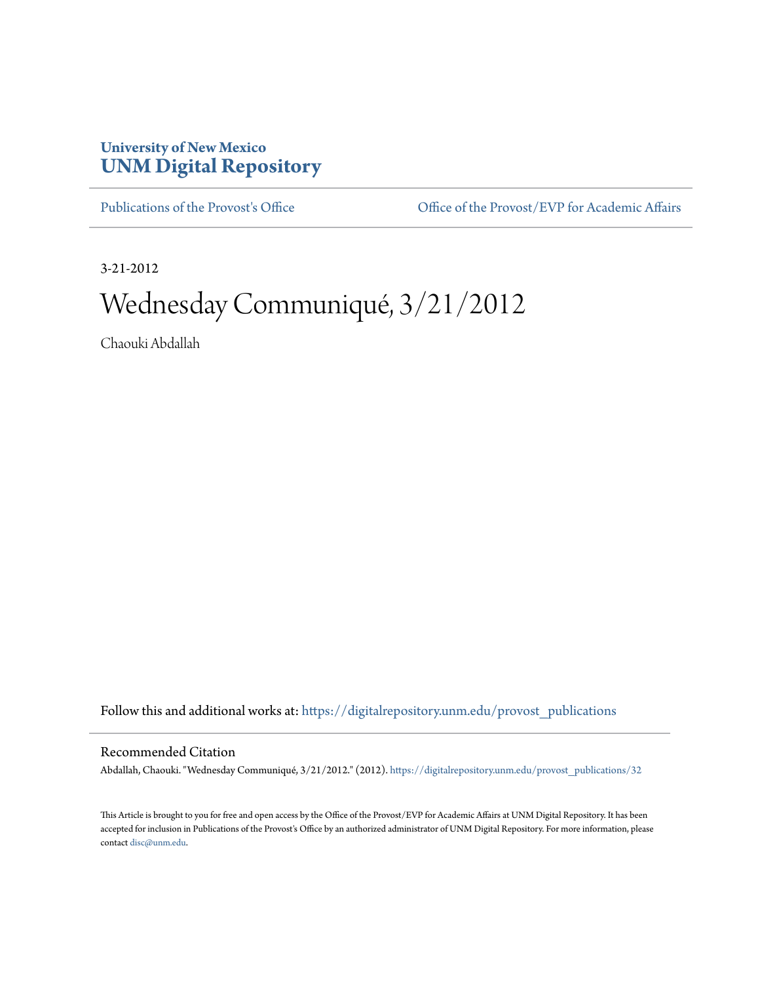## **University of New Mexico [UNM Digital Repository](https://digitalrepository.unm.edu?utm_source=digitalrepository.unm.edu%2Fprovost_publications%2F32&utm_medium=PDF&utm_campaign=PDFCoverPages)**

[Publications of the Provost's Office](https://digitalrepository.unm.edu/provost_publications?utm_source=digitalrepository.unm.edu%2Fprovost_publications%2F32&utm_medium=PDF&utm_campaign=PDFCoverPages) Office [Office of the Provost/EVP for Academic Affairs](https://digitalrepository.unm.edu/ofc_provost?utm_source=digitalrepository.unm.edu%2Fprovost_publications%2F32&utm_medium=PDF&utm_campaign=PDFCoverPages)

3-21-2012

# Wednesday Communiqué, 3/21/2012

Chaouki Abdallah

Follow this and additional works at: [https://digitalrepository.unm.edu/provost\\_publications](https://digitalrepository.unm.edu/provost_publications?utm_source=digitalrepository.unm.edu%2Fprovost_publications%2F32&utm_medium=PDF&utm_campaign=PDFCoverPages)

#### Recommended Citation

Abdallah, Chaouki. "Wednesday Communiqué, 3/21/2012." (2012). [https://digitalrepository.unm.edu/provost\\_publications/32](https://digitalrepository.unm.edu/provost_publications/32?utm_source=digitalrepository.unm.edu%2Fprovost_publications%2F32&utm_medium=PDF&utm_campaign=PDFCoverPages)

This Article is brought to you for free and open access by the Office of the Provost/EVP for Academic Affairs at UNM Digital Repository. It has been accepted for inclusion in Publications of the Provost's Office by an authorized administrator of UNM Digital Repository. For more information, please contact [disc@unm.edu.](mailto:disc@unm.edu)